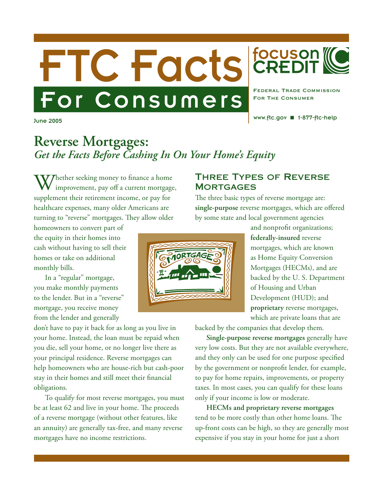# FTC Facts For Consumer For The Commission



# **Reverse Mortgages:** *Get the Facts Before Cashing In On Your Home's Equity*

Thether seeking money to finance a home improvement, pay off a current mortgage, supplement their retirement income, or pay for healthcare expenses, many older Americans are turning to "reverse" mortgages. They allow older

homeowners to convert part of the equity in their homes into cash without having to sell their homes or take on additional monthly bills.

In a "regular" mortgage, you make monthly payments to the lender. But in a "reverse" mortgage, you receive money from the lender and generally

don't have to pay it back for as long as you live in your home. Instead, the loan must be repaid when you die, sell your home, or no longer live there as your principal residence. Reverse mortgages can help homeowners who are house-rich but cash-poor stay in their homes and still meet their financial obligations.

To qualify for most reverse mortgages, you must be at least 62 and live in your home. The proceeds of a reverse mortgage (without other features, like an annuity) are generally tax-free, and many reverse mortgages have no income restrictions.

# Three Types of Reverse **MORTGAGES**

The three basic types of reverse mortgage are: **single-purpose** reverse mortgages, which are offered by some state and local government agencies

For The Consumer

www.ftc.gov ■ 1-877-ftc-help

focuson |||<br>CREDIT ||



and nonprofit organizations; **federally-insured** reverse mortgages, which are known as Home Equity Conversion Mortgages (HECMs), and are backed by the U. S. Department of Housing and Urban Development (HUD); and **proprietary** reverse mortgages, which are private loans that are

backed by the companies that develop them.

**Single-purpose reverse mortgages** generally have very low costs. But they are not available everywhere, and they only can be used for one purpose specified by the government or nonprofit lender, for example, to pay for home repairs, improvements, or property taxes. In most cases, you can qualify for these loans only if your income is low or moderate.

**HECMs and proprietary reverse mortgages** tend to be more costly than other home loans. The up-front costs can be high, so they are generally most expensive if you stay in your home for just a short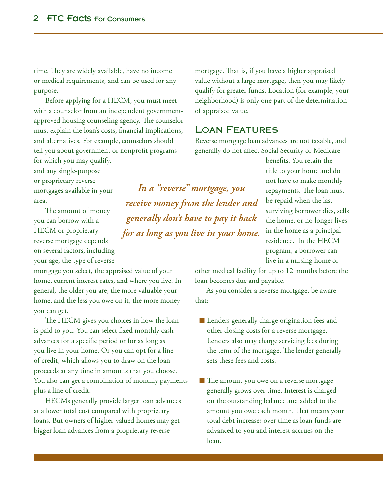time. They are widely available, have no income or medical requirements, and can be used for any purpose.

Before applying for a HECM, you must meet with a counselor from an independent governmentapproved housing counseling agency. The counselor must explain the loan's costs, financial implications, and alternatives. For example, counselors should tell you about government or nonprofit programs for which you may qualify,

and any single-purpose or proprietary reverse mortgages available in your area.

The amount of money you can borrow with a HECM or proprietary reverse mortgage depends on several factors, including your age, the type of reverse

mortgage you select, the appraised value of your home, current interest rates, and where you live. In general, the older you are, the more valuable your home, and the less you owe on it, the more money you can get.

The HECM gives you choices in how the loan is paid to you. You can select fixed monthly cash advances for a specific period or for as long as you live in your home. Or you can opt for a line of credit, which allows you to draw on the loan proceeds at any time in amounts that you choose. You also can get a combination of monthly payments plus a line of credit.

HECMs generally provide larger loan advances at a lower total cost compared with proprietary loans. But owners of higher-valued homes may get bigger loan advances from a proprietary reverse

mortgage. That is, if you have a higher appraised value without a large mortgage, then you may likely qualify for greater funds. Location (for example, your neighborhood) is only one part of the determination of appraised value.

#### Loan Features

Reverse mortgage loan advances are not taxable, and generally do not affect Social Security or Medicare

> benefits. You retain the title to your home and do not have to make monthly repayments. The loan must be repaid when the last surviving borrower dies, sells the home, or no longer lives in the home as a principal residence. In the HECM program, a borrower can live in a nursing home or

other medical facility for up to 12 months before the loan becomes due and payable.

As you consider a reverse mortgage, be aware that:

- **Lenders generally charge origination fees and** other closing costs for a reverse mortgage. Lenders also may charge servicing fees during the term of the mortgage. The lender generally sets these fees and costs.
- The amount you owe on a reverse mortgage generally grows over time. Interest is charged on the outstanding balance and added to the amount you owe each month. That means your total debt increases over time as loan funds are advanced to you and interest accrues on the loan.

*In a "reverse" mortgage, you receive money from the lender and generally don't have to pay it back for as long as you live in your home.*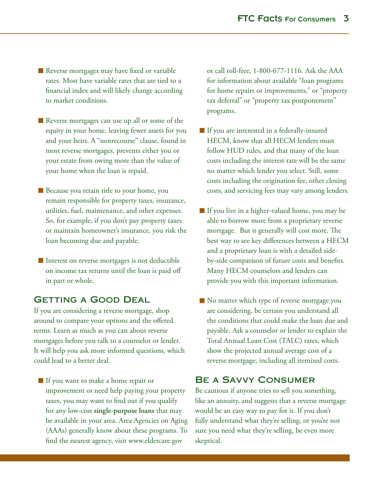Reverse mortgages may have fixed or variable rates. Most have variable rates that are tied to a financial index and will likely change according to market conditions.

- Reverse mortgages can use up all or some of the equity in your home, leaving fewer assets for you and your heirs. A "nonrecourse" clause, found in most reverse mortgages, prevents either you or your estate from owing more than the value of your home when the loan is repaid.
- Because you retain title to your home, you remain responsible for property taxes, insurance, utilities, fuel, maintenance, and other expenses. So, for example, if you don't pay property taxes or maintain homeowner's insurance, you risk the loan becoming due and payable.
- Interest on reverse mortgages is not deductible on income tax returns until the loan is paid off in part or whole.

## Getting a Good Deal

If you are considering a reverse mortgage, shop around to compare your options and the offered terms. Learn as much as you can about reverse mortgages before you talk to a counselor or lender. It will help you ask more informed questions, which could lead to a better deal.

 If you want to make a home repair or improvement or need help paying your property taxes, you may want to find out if you qualify for any low-cost **single-purpose loans** that may be available in your area. Area Agencies on Aging (AAAs) generally know about these programs. To find the nearest agency, visit www.eldercare.gov

or call toll-free, 1-800-677-1116. Ask the AAA for information about available "loan programs for home repairs or improvements," or "property tax deferral" or "property tax postponement" programs.

- If you are interested in a federally-insured HECM, know that all HECM lenders must follow HUD rules, and that many of the loan costs including the interest rate will be the same no matter which lender you select. Still, some costs including the origination fee, other closing costs, and servicing fees may vary among lenders.
- If you live in a higher-valued home, you may be able to borrow more from a proprietary reverse mortgage. But it generally will cost more. The best way to see key differences between a HECM and a proprietary loan is with a detailed sideby-side comparison of future costs and benefits. Many HECM counselors and lenders can provide you with this important information.
- No matter which type of reverse mortgage you are considering, be certain you understand all the conditions that could make the loan due and payable. Ask a counselor or lender to explain the Total Annual Loan Cost (TALC) rates, which show the projected annual average cost of a reverse mortgage, including all itemized costs.

## Be a Savvy Consumer

Be cautious if anyone tries to sell you something, like an annuity, and suggests that a reverse mortgage would be an easy way to pay for it. If you don't fully understand what they're selling, or you're not sure you need what they're selling, be even more skeptical.